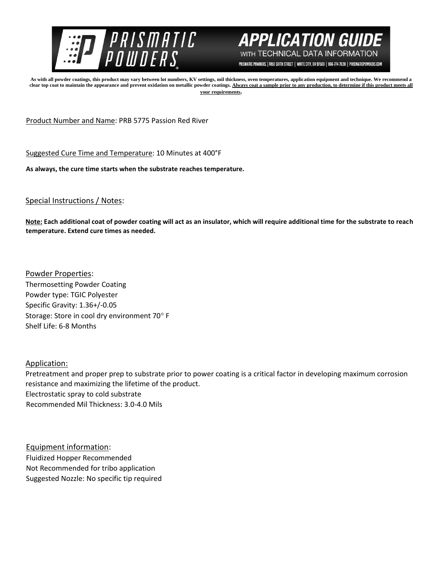



PRISMATIC POWDERS. | 7050 SIXTH STREET | WHITE CITY, OR 97503 | 866-774-7628 | PRISMATICPOWDERS.COM

**As with all powder coatings, this product may vary between lot numbers, KV settings, mil thickness, oven temperatures, application equipment and technique. We recommend a**  clear top coat to maintain the appearance and prevent oxidation on metallic powder coatings. Always coat a sample prior to any production, to determine if this product meets all **your requirements.** 

Product Number and Name: PRB 5775 Passion Red River

Suggested Cure Time and Temperature: 10 Minutes at 400°F

**As always, the cure time starts when the substrate reaches temperature.**

## Special Instructions / Notes:

**Note: Each additional coat of powder coating will act as an insulator, which will require additional time for the substrate to reach temperature. Extend cure times as needed.** 

Powder Properties: Thermosetting Powder Coating Powder type: TGIC Polyester Specific Gravity: 1.36+/-0.05 Storage: Store in cool dry environment 70° F Shelf Life: 6-8 Months

## Application:

Pretreatment and proper prep to substrate prior to power coating is a critical factor in developing maximum corrosion resistance and maximizing the lifetime of the product. Electrostatic spray to cold substrate Recommended Mil Thickness: 3.0-4.0 Mils

Equipment information: Fluidized Hopper Recommended Not Recommended for tribo application Suggested Nozzle: No specific tip required